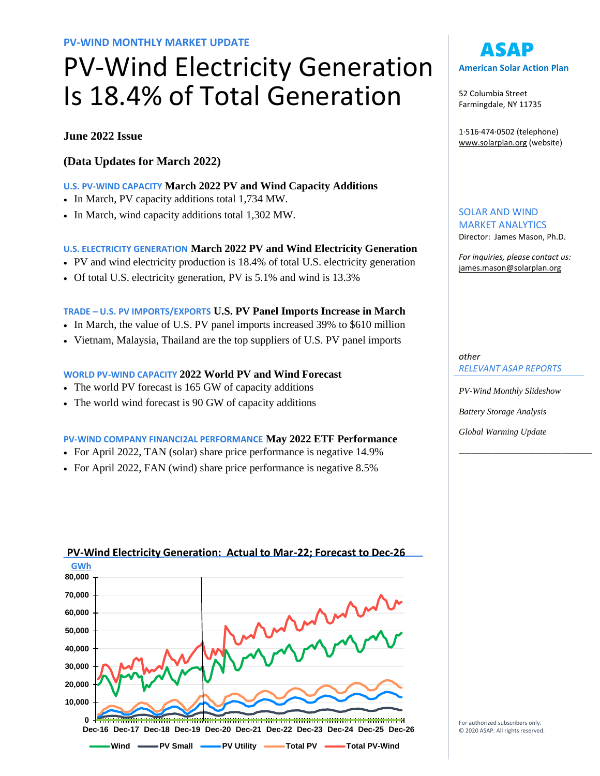# PV-Wind Electricity Generation Is 18.4% of Total Generation

**June 2022 Issue**

#### **(Data Updates for March 2022)**

#### **U.S. PV-WIND CAPACITY March 2022 PV and Wind Capacity Additions**

- In March, PV capacity additions total 1,734 MW.
- In March, wind capacity additions total 1,302 MW.

#### **U.S. ELECTRICITY GENERATION March 2022 PV and Wind Electricity Generation**

- PV and wind electricity production is 18.4% of total U.S. electricity generation
- Of total U.S. electricity generation, PV is 5.1% and wind is 13.3%

#### **TRADE – U.S. PV IMPORTS/EXPORTS U.S. PV Panel Imports Increase in March**

- In March, the value of U.S. PV panel imports increased 39% to \$610 million
- Vietnam, Malaysia, Thailand are the top suppliers of U.S. PV panel imports

#### **WORLD PV-WIND CAPACITY 2022 World PV and Wind Forecast**

- The world PV forecast is 165 GW of capacity additions
- The world wind forecast is 90 GW of capacity additions

#### **PV-WIND COMPANY FINANCI2AL PERFORMANCE May 2022 ETF Performance**

- For April 2022, TAN (solar) share price performance is negative 14.9%
- For April 2022, FAN (wind) share price performance is negative 8.5%





52 Columbia Street Farmingdale, NY 11735

1·516·474·0502 (telephone) [www.solarplan.org](http://www.solarplan.org/) (website)

SOLAR AND WIND MARKET ANALYTICS Director: James Mason, Ph.D.

*For inquiries, please contact us:* [james.mason@solarplan.o](mailto:james.mason@solarplan.)rg

*other RELEVANT ASAP REPORTS*

*PV-Wind Monthly Slideshow*

*Battery Storage Analysis*

*Global Warming Update*

\_\_\_\_\_\_\_\_\_\_\_\_\_\_\_\_\_\_\_\_\_\_\_\_\_\_\_\_\_\_\_\_\_\_\_\_\_\_\_\_\_\_

For authorized subscribers only. © 2020 ASAP. All rights reserved.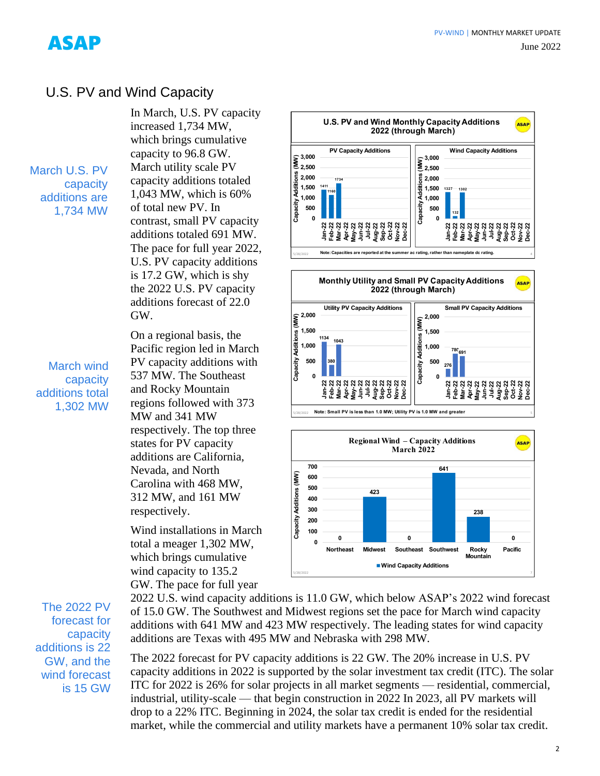# ASAP

### U.S. PV and Wind Capacity

March U.S. PV capacity additions are 1,734 MW

March wind capacity additions total 1,302 MW

The 2022 PV forecast for capacity additions is 22 GW, and the wind forecast is 15 GW

In March, U.S. PV capacity increased 1,734 MW, which brings cumulative capacity to 96.8 GW. March utility scale PV capacity additions totaled 1,043 MW, which is 60% of total new PV. In contrast, small PV capacity additions totaled 691 MW. The pace for full year 2022, U.S. PV capacity additions is 17.2 GW, which is shy the 2022 U.S. PV capacity additions forecast of 22.0 GW.

On a regional basis, the Pacific region led in March PV capacity additions with 537 MW. The Southeast and Rocky Mountain regions followed with 373 MW and 341 MW respectively. The top three states for PV capacity additions are California, Nevada, and North Carolina with 468 MW, 312 MW, and 161 MW respectively.

Wind installations in March total a meager 1,302 MW, which brings cumulative wind capacity to 135.2 GW. The pace for full year







2022 U.S. wind capacity additions is 11.0 GW, which below ASAP's 2022 wind forecast of 15.0 GW. The Southwest and Midwest regions set the pace for March wind capacity additions with 641 MW and 423 MW respectively. The leading states for wind capacity additions are Texas with 495 MW and Nebraska with 298 MW.

The 2022 forecast for PV capacity additions is 22 GW. The 20% increase in U.S. PV capacity additions in 2022 is supported by the solar investment tax credit (ITC). The solar ITC for 2022 is 26% for solar projects in all market segments — residential, commercial, industrial, utility-scale — that begin construction in 2022 In 2023, all PV markets will drop to a 22% ITC. Beginning in 2024, the solar tax credit is ended for the residential market, while the commercial and utility markets have a permanent 10% solar tax credit.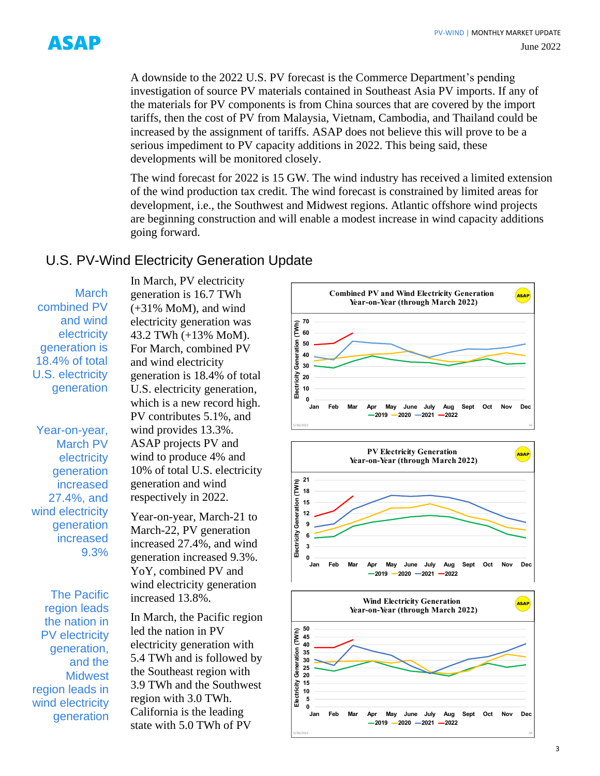A downside to the 2022 U.S. PV forecast is the Commerce Department's pending investigation of source PV materials contained in Southeast Asia PV imports. If any of the materials for PV components is from China sources that are covered by the import tariffs, then the cost of PV from Malaysia, Vietnam, Cambodia, and Thailand could be increased by the assignment of tariffs. ASAP does not believe this will prove to be a serious impediment to PV capacity additions in 2022. This being said, these developments will be monitored closely.

The wind forecast for 2022 is 15 GW. The wind industry has received a limited extension of the wind production tax credit. The wind forecast is constrained by limited areas for development, i.e., the Southwest and Midwest regions. Atlantic offshore wind projects are beginning construction and will enable a modest increase in wind capacity additions going forward.

### U.S. PV-Wind Electricity Generation Update

In March, PV electricity

March combined PV and wind electricity generation is 18.4% of total U.S. electricity generation

Year-on-year, March PV electricity **generation** increased 27.4%, and wind electricity generation increased 9.3%

The Pacific region leads the nation in PV electricity generation, and the **Midwest** region leads in wind electricity generation generation is 16.7 TWh (+31% MoM), and wind electricity generation was 43.2 TWh (+13% MoM). For March, combined PV and wind electricity generation is 18.4% of total U.S. electricity generation, which is a new record high. PV contributes 5.1%, and wind provides 13.3%. ASAP projects PV and wind to produce 4% and 10% of total U.S. electricity generation and wind respectively in 2022.

Year-on-year, March-21 to March-22, PV generation increased 27.4%, and wind generation increased 9.3%. YoY, combined PV and wind electricity generation increased 13.8%.

In March, the Pacific region led the nation in PV electricity generation with 5.4 TWh and is followed by the Southeast region with 3.9 TWh and the Southwest region with 3.0 TWh. California is the leading state with 5.0 TWh of PV





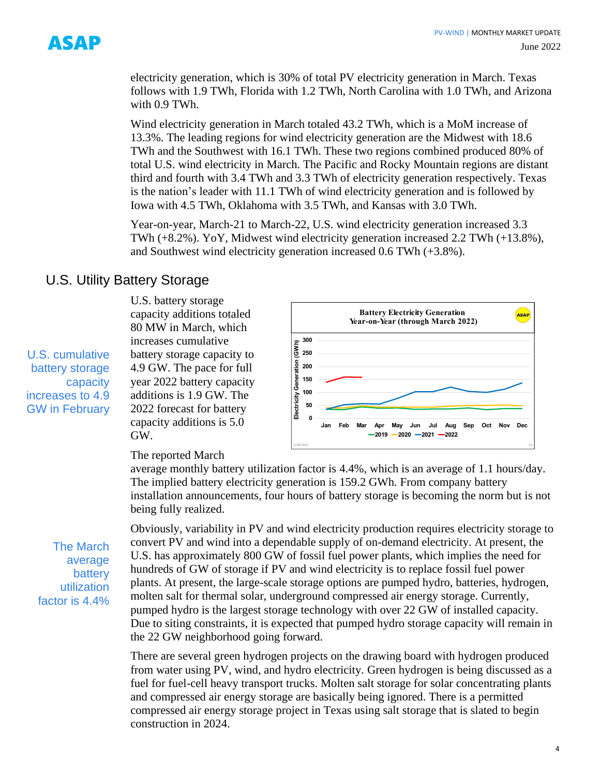

electricity generation, which is 30% of total PV electricity generation in March. Texas follows with 1.9 TWh, Florida with 1.2 TWh, North Carolina with 1.0 TWh, and Arizona with 0.9 TWh.

Wind electricity generation in March totaled 43.2 TWh, which is a MoM increase of 13.3%. The leading regions for wind electricity generation are the Midwest with 18.6 TWh and the Southwest with 16.1 TWh. These two regions combined produced 80% of total U.S. wind electricity in March. The Pacific and Rocky Mountain regions are distant third and fourth with 3.4 TWh and 3.3 TWh of electricity generation respectively. Texas is the nation's leader with 11.1 TWh of wind electricity generation and is followed by Iowa with 4.5 TWh, Oklahoma with 3.5 TWh, and Kansas with 3.0 TWh.

Year-on-year, March-21 to March-22, U.S. wind electricity generation increased 3.3 TWh (+8.2%). YoY, Midwest wind electricity generation increased 2.2 TWh (+13.8%), and Southwest wind electricity generation increased 0.6 TWh (+3.8%).

### U.S. Utility Battery Storage

U.S. battery storage capacity additions totaled 80 MW in March, which increases cumulative battery storage capacity to 4.9 GW. The pace for full year 2022 battery capacity additions is 1.9 GW. The 2022 forecast for battery capacity additions is 5.0 GW.



# The reported March

average monthly battery utilization factor is 4.4%, which is an average of 1.1 hours/day. The implied battery electricity generation is 159.2 GWh. From company battery installation announcements, four hours of battery storage is becoming the norm but is not being fully realized.

The March average battery utilization factor is 4.4%

U.S. cumulative battery storage

increases to 4.9 GW in February

capacity

Obviously, variability in PV and wind electricity production requires electricity storage to convert PV and wind into a dependable supply of on-demand electricity. At present, the U.S. has approximately 800 GW of fossil fuel power plants, which implies the need for hundreds of GW of storage if PV and wind electricity is to replace fossil fuel power plants. At present, the large-scale storage options are pumped hydro, batteries, hydrogen, molten salt for thermal solar, underground compressed air energy storage. Currently, pumped hydro is the largest storage technology with over 22 GW of installed capacity. Due to siting constraints, it is expected that pumped hydro storage capacity will remain in the 22 GW neighborhood going forward.

There are several green hydrogen projects on the drawing board with hydrogen produced from water using PV, wind, and hydro electricity. Green hydrogen is being discussed as a fuel for fuel-cell heavy transport trucks. Molten salt storage for solar concentrating plants and compressed air energy storage are basically being ignored. There is a permitted compressed air energy storage project in Texas using salt storage that is slated to begin construction in 2024.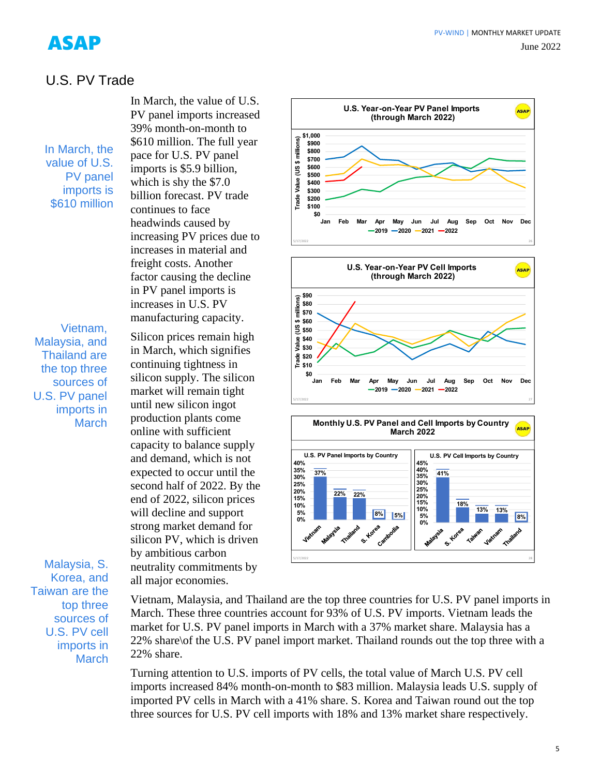# ASAP

### U.S. PV Trade

In March, the value of U.S. PV panel imports is \$610 million PV panel imports increased 39% month-on-month to \$610 million. The full year pace for U.S. PV panel imports is \$5.9 billion, which is shy the \$7.0 billion forecast. PV trade continues to face headwinds caused by increasing PV prices due to increases in material and freight costs. Another factor causing the decline in PV panel imports is increases in U.S. PV manufacturing capacity.

In March, the value of U.S.

Vietnam, Malaysia, and Thailand are the top three sources of U.S. PV panel imports in **March** 

Malaysia, S. Korea, and Taiwan are the top three sources of U.S. PV cell imports in **March** 

Silicon prices remain high in March, which signifies continuing tightness in silicon supply. The silicon market will remain tight until new silicon ingot production plants come online with sufficient capacity to balance supply and demand, which is not expected to occur until the second half of 2022. By the end of 2022, silicon prices will decline and support strong market demand for silicon PV, which is driven by ambitious carbon neutrality commitments by all major economies.



Vietnam, Malaysia, and Thailand are the top three countries for U.S. PV panel imports in March. These three countries account for 93% of U.S. PV imports. Vietnam leads the market for U.S. PV panel imports in March with a 37% market share. Malaysia has a 22% share\of the U.S. PV panel import market. Thailand rounds out the top three with a 22% share.

Turning attention to U.S. imports of PV cells, the total value of March U.S. PV cell imports increased 84% month-on-month to \$83 million. Malaysia leads U.S. supply of imported PV cells in March with a 41% share. S. Korea and Taiwan round out the top three sources for U.S. PV cell imports with 18% and 13% market share respectively.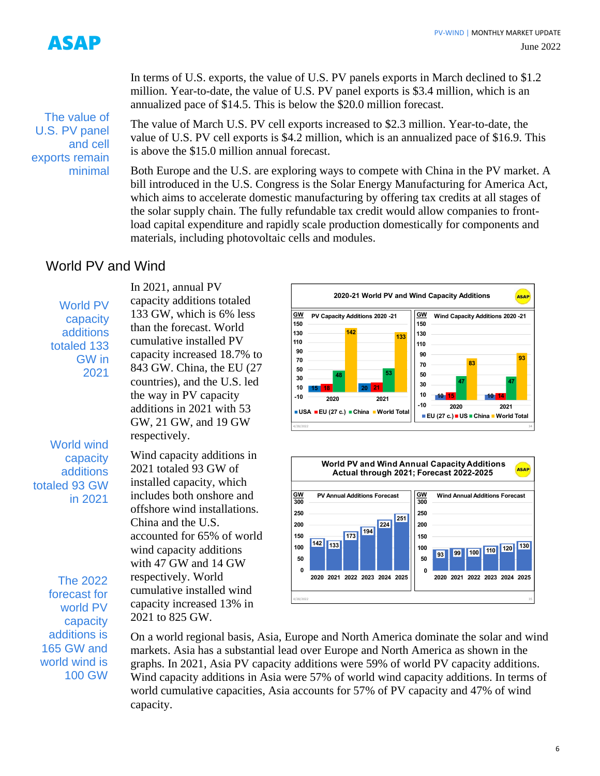

The value of U.S. PV panel

exports remain

and cell

minimal

In terms of U.S. exports, the value of U.S. PV panels exports in March declined to \$1.2 million. Year-to-date, the value of U.S. PV panel exports is \$3.4 million, which is an annualized pace of \$14.5. This is below the \$20.0 million forecast.

The value of March U.S. PV cell exports increased to \$2.3 million. Year-to-date, the value of U.S. PV cell exports is \$4.2 million, which is an annualized pace of \$16.9. This is above the \$15.0 million annual forecast.

Both Europe and the U.S. are exploring ways to compete with China in the PV market. A bill introduced in the U.S. Congress is the Solar Energy Manufacturing for America Act, which aims to accelerate domestic manufacturing by offering tax credits at all stages of the solar supply chain. The fully refundable tax credit would allow companies to frontload capital expenditure and rapidly scale production domestically for components and materials, including photovoltaic cells and modules.

#### World PV and Wind

World PV capacity additions totaled 133 GW in 2021

World wind capacity additions totaled 93 GW in 2021

The 2022 forecast for world PV capacity additions is 165 GW and world wind is 100 GW In 2021, annual PV capacity additions totaled 133 GW, which is 6% less than the forecast. World cumulative installed PV capacity increased 18.7% to 843 GW. China, the EU (27 countries), and the U.S. led the way in PV capacity additions in 2021 with 53 GW, 21 GW, and 19 GW respectively.

Wind capacity additions in 2021 totaled 93 GW of installed capacity, which includes both onshore and offshore wind installations. China and the U.S. accounted for 65% of world wind capacity additions with 47 GW and 14 GW respectively. World cumulative installed wind capacity increased 13% in 2021 to 825 GW.





On a world regional basis, Asia, Europe and North America dominate the solar and wind markets. Asia has a substantial lead over Europe and North America as shown in the graphs. In 2021, Asia PV capacity additions were 59% of world PV capacity additions. Wind capacity additions in Asia were 57% of world wind capacity additions. In terms of world cumulative capacities, Asia accounts for 57% of PV capacity and 47% of wind capacity.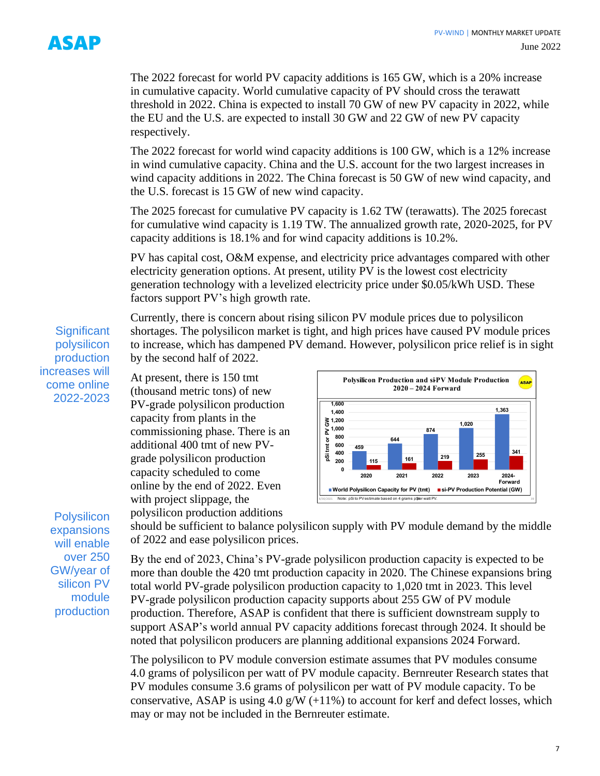

The 2022 forecast for world PV capacity additions is 165 GW, which is a 20% increase in cumulative capacity. World cumulative capacity of PV should cross the terawatt threshold in 2022. China is expected to install 70 GW of new PV capacity in 2022, while the EU and the U.S. are expected to install 30 GW and 22 GW of new PV capacity respectively.

The 2022 forecast for world wind capacity additions is 100 GW, which is a 12% increase in wind cumulative capacity. China and the U.S. account for the two largest increases in wind capacity additions in 2022. The China forecast is 50 GW of new wind capacity, and the U.S. forecast is 15 GW of new wind capacity.

The 2025 forecast for cumulative PV capacity is 1.62 TW (terawatts). The 2025 forecast for cumulative wind capacity is 1.19 TW. The annualized growth rate, 2020-2025, for PV capacity additions is 18.1% and for wind capacity additions is 10.2%.

PV has capital cost, O&M expense, and electricity price advantages compared with other electricity generation options. At present, utility PV is the lowest cost electricity generation technology with a levelized electricity price under \$0.05/kWh USD. These factors support PV's high growth rate.

Currently, there is concern about rising silicon PV module prices due to polysilicon shortages. The polysilicon market is tight, and high prices have caused PV module prices to increase, which has dampened PV demand. However, polysilicon price relief is in sight by the second half of 2022.

At present, there is 150 tmt (thousand metric tons) of new PV-grade polysilicon production capacity from plants in the commissioning phase. There is an additional 400 tmt of new PVgrade polysilicon production capacity scheduled to come online by the end of 2022. Even with project slippage, the polysilicon production additions

**Polysilicon Production and siPV Module Production ASAP** 2020 - 2024 Forward  $\frac{1}{1,600}$   $\geq 1,200$  Σ   $\rm\dot{\rm o}$   $\overline{\text{E}}$ A59 341  255  $219$ 161  2021 2022 2023 2024-**Forward** si-PV Production Potential (GW) **World Polysilicon Capacity for PV (tmt)** Note: pSi to PV estimate based on 4 grams poler watt PV

**Polysilicon** expansions will enable over 250 GW/year of silicon PV module production

should be sufficient to balance polysilicon supply with PV module demand by the middle of 2022 and ease polysilicon prices.

By the end of 2023, China's PV-grade polysilicon production capacity is expected to be more than double the 420 tmt production capacity in 2020. The Chinese expansions bring total world PV-grade polysilicon production capacity to 1,020 tmt in 2023. This level PV-grade polysilicon production capacity supports about 255 GW of PV module production. Therefore, ASAP is confident that there is sufficient downstream supply to support ASAP's world annual PV capacity additions forecast through 2024. It should be noted that polysilicon producers are planning additional expansions 2024 Forward.

The polysilicon to PV module conversion estimate assumes that PV modules consume 4.0 grams of polysilicon per watt of PV module capacity. Bernreuter Research states that PV modules consume 3.6 grams of polysilicon per watt of PV module capacity. To be conservative, ASAP is using  $4.0 \text{ g/W } (+11\%)$  to account for kerf and defect losses, which may or may not be included in the Bernreuter estimate.

**Significant** polysilicon production increases will come online 2022-2023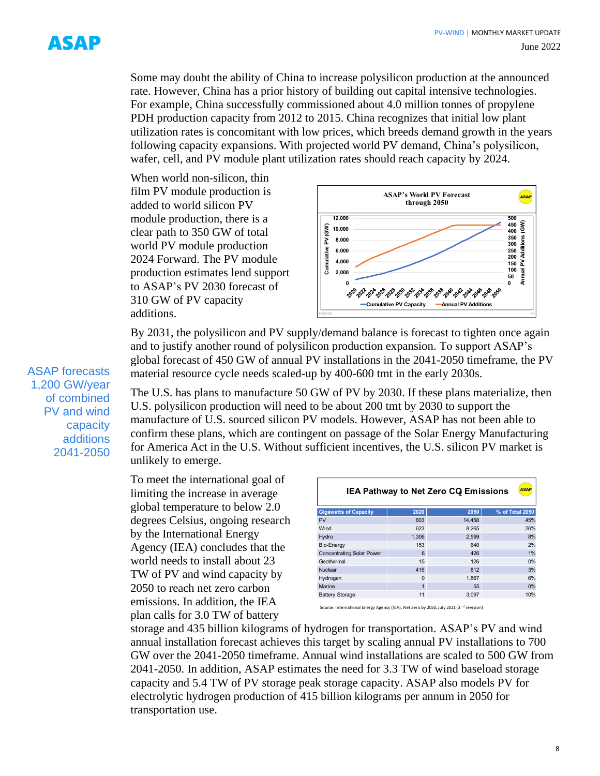ASAP

Some may doubt the ability of China to increase polysilicon production at the announced rate. However, China has a prior history of building out capital intensive technologies. For example, China successfully commissioned about 4.0 million tonnes of propylene PDH production capacity from 2012 to 2015. China recognizes that initial low plant utilization rates is concomitant with low prices, which breeds demand growth in the years following capacity expansions. With projected world PV demand, China's polysilicon, wafer, cell, and PV module plant utilization rates should reach capacity by 2024.

When world non-silicon, thin film PV module production is added to world silicon PV module production, there is a clear path to 350 GW of total world PV module production 2024 Forward. The PV module production estimates lend support to ASAP's PV 2030 forecast of 310 GW of PV capacity additions.



By 2031, the polysilicon and PV supply/demand balance is forecast to tighten once again and to justify another round of polysilicon production expansion. To support ASAP's global forecast of 450 GW of annual PV installations in the 2041-2050 timeframe, the PV material resource cycle needs scaled-up by 400-600 tmt in the early 2030s.

The U.S. has plans to manufacture 50 GW of PV by 2030. If these plans materialize, then U.S. polysilicon production will need to be about 200 tmt by 2030 to support the manufacture of U.S. sourced silicon PV models. However, ASAP has not been able to confirm these plans, which are contingent on passage of the Solar Energy Manufacturing for America Act in the U.S. Without sufficient incentives, the U.S. silicon PV market is unlikely to emerge.

To meet the international goal of limiting the increase in average global temperature to below 2.0 degrees Celsius, ongoing research by the International Energy Agency (IEA) concludes that the world needs to install about 23 TW of PV and wind capacity by 2050 to reach net zero carbon emissions. In addition, the IEA plan calls for 3.0 TW of battery

| <b>ASAP</b><br><b>IEA Pathway to Net Zero CQ Emissions</b> |                |        |                 |
|------------------------------------------------------------|----------------|--------|-----------------|
| <b>Gigawatts of Capacity</b>                               | 2020           | 2050   | % of Total 2050 |
| <b>PV</b>                                                  | 603            | 14.458 | 45%             |
| Wind                                                       | 623            | 8.265  | 26%             |
| Hydro                                                      | 1.306          | 2.599  | 8%              |
| Bio-Energy                                                 | 153            | 640    | 2%              |
| <b>Concentrating Solar Power</b>                           | 6              | 426    | 1%              |
| Geothermal                                                 | 15             | 126    | 0%              |
| <b>Nuclear</b>                                             | 415            | 812    | 3%              |
| Hydrogen                                                   | $\Omega$       | 1.867  | 6%              |
| Marine                                                     | $\overline{1}$ | 55     | 0%              |
| <b>Battery Storage</b>                                     | 11             | 3.097  | 10%             |

nal Energy Agency (IEA), Net Zero by 2050, July 2021 (3<sup>rd</sup> revision)

storage and 435 billion kilograms of hydrogen for transportation. ASAP's PV and wind annual installation forecast achieves this target by scaling annual PV installations to 700 GW over the 2041-2050 timeframe. Annual wind installations are scaled to 500 GW from 2041-2050. In addition, ASAP estimates the need for 3.3 TW of wind baseload storage capacity and 5.4 TW of PV storage peak storage capacity. ASAP also models PV for electrolytic hydrogen production of 415 billion kilograms per annum in 2050 for transportation use.

ASAP forecasts 1,200 GW/year of combined PV and wind capacity additions 2041-2050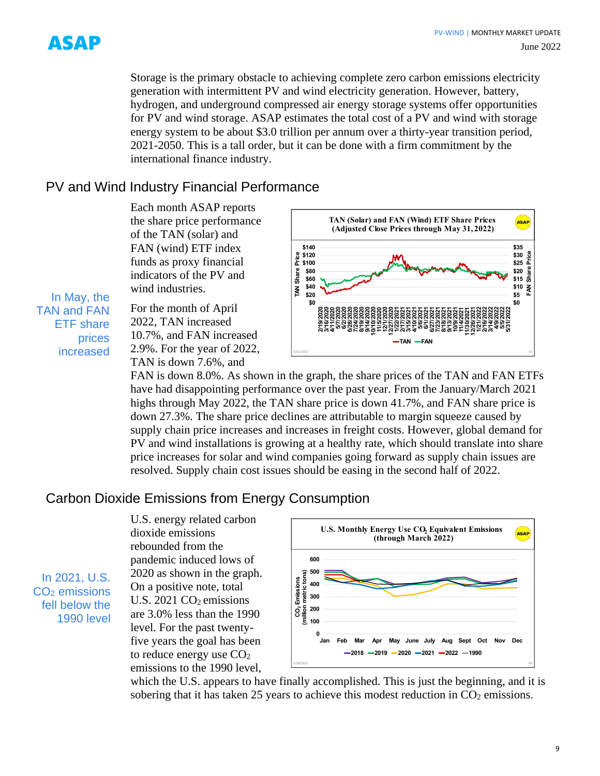Storage is the primary obstacle to achieving complete zero carbon emissions electricity generation with intermittent PV and wind electricity generation. However, battery, hydrogen, and underground compressed air energy storage systems offer opportunities for PV and wind storage. ASAP estimates the total cost of a PV and wind with storage energy system to be about \$3.0 trillion per annum over a thirty-year transition period, 2021-2050. This is a tall order, but it can be done with a firm commitment by the international finance industry.

### PV and Wind Industry Financial Performance

Each month ASAP reports the share price performance of the TAN (solar) and FAN (wind) ETF index funds as proxy financial indicators of the PV and wind industries.

In May, the TAN and FAN ETF share prices increased

ASAP

For the month of April 2022, TAN increased 10.7%, and FAN increased 2.9%. For the year of 2022, TAN is down 7.6%, and



FAN is down 8.0%. As shown in the graph, the share prices of the TAN and FAN ETFs have had disappointing performance over the past year. From the January/March 2021 highs through May 2022, the TAN share price is down 41.7%, and FAN share price is down 27.3%. The share price declines are attributable to margin squeeze caused by supply chain price increases and increases in freight costs. However, global demand for PV and wind installations is growing at a healthy rate, which should translate into share price increases for solar and wind companies going forward as supply chain issues are resolved. Supply chain cost issues should be easing in the second half of 2022.

### Carbon Dioxide Emissions from Energy Consumption

In 2021, U.S. CO<sub>2</sub> emissions fell below the 1990 level U.S. energy related carbon dioxide emissions rebounded from the pandemic induced lows of 2020 as shown in the graph. On a positive note, total U.S. 2021  $CO<sub>2</sub>$  emissions are 3.0% less than the 1990 level. For the past twentyfive years the goal has been to reduce energy use  $CO<sub>2</sub>$ emissions to the 1990 level,



which the U.S. appears to have finally accomplished. This is just the beginning, and it is sobering that it has taken 25 years to achieve this modest reduction in  $CO<sub>2</sub>$  emissions.